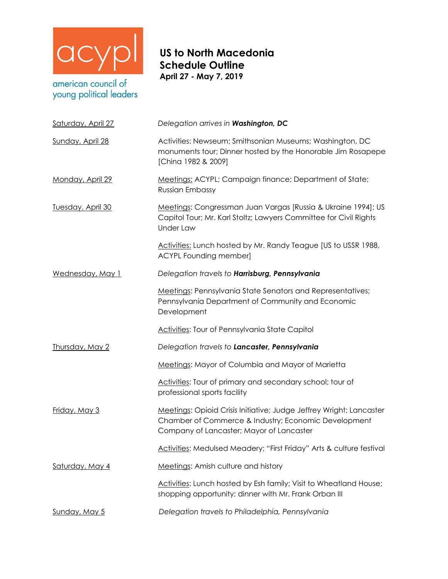

young political leaders

## **US to North Macedonia Schedule Outline April 27 - May 7, 2019**

| Saturday, April 27   | Delegation arrives in Washington, DC                                                                                                                                    |
|----------------------|-------------------------------------------------------------------------------------------------------------------------------------------------------------------------|
| Sunday, April 28     | Activities: Newseum; Smithsonian Museums; Washington, DC<br>monuments tour; Dinner hosted by the Honorable Jim Rosapepe<br>[China 1982 & 2009]                          |
| Monday, April 29     | Meetings: ACYPL; Campaign finance; Department of State;<br><b>Russian Embassy</b>                                                                                       |
| Tuesday, April 30    | Meetings: Congressman Juan Vargas [Russia & Ukraine 1994]; US<br>Capitol Tour; Mr. Karl Stoltz; Lawyers Committee for Civil Rights<br><b>Under Law</b>                  |
|                      | Activities: Lunch hosted by Mr. Randy Teague [US to USSR 1988,<br><b>ACYPL Founding member]</b>                                                                         |
| Wednesday, May 1     | Delegation travels to Harrisburg, Pennsylvania                                                                                                                          |
|                      | Meetings: Pennsylvania State Senators and Representatives;<br>Pennsylvania Department of Community and Economic<br>Development                                          |
|                      | <b>Activities:</b> Tour of Pennsylvania State Capitol                                                                                                                   |
| Thursday, May 2      | Delegation travels to Lancaster, Pennsylvania                                                                                                                           |
|                      | Meetings: Mayor of Columbia and Mayor of Marietta                                                                                                                       |
|                      | Activities: Tour of primary and secondary school; tour of<br>professional sports facility                                                                               |
| <u>Friday, May 3</u> | Meetings: Opioid Crisis Initiative; Judge Jeffrey Wright; Lancaster<br>Chamber of Commerce & Industry; Economic Development<br>Company of Lancaster; Mayor of Lancaster |
|                      | Activities: Medulsed Meadery; "First Friday" Arts & culture festival                                                                                                    |
| Saturday, May 4      | Meetings: Amish culture and history                                                                                                                                     |
|                      | Activities: Lunch hosted by Esh family; Visit to Wheatland House;<br>shopping opportunity; dinner with Mr. Frank Orban III                                              |
| <u>Sunday, May 5</u> | Delegation travels to Philadelphia, Pennsylvania                                                                                                                        |